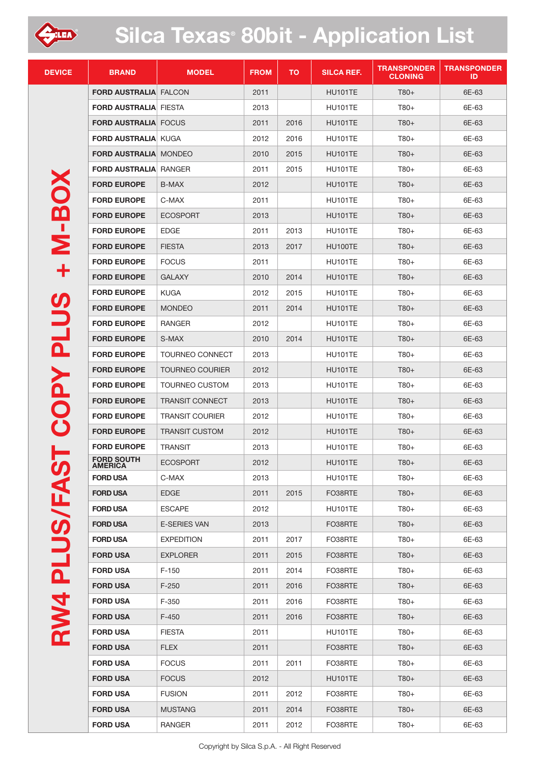

## **Silca Texas® 80bit - Application List**

| <b>DEVICE</b> | <b>BRAND</b>                        | <b>MODEL</b>           | <b>FROM</b> | <b>TO</b> | <b>SILCA REF.</b> | <b>TRANSPONDER</b><br><b>CLONING</b> | <b>TRANSPONDER</b><br>ID. |
|---------------|-------------------------------------|------------------------|-------------|-----------|-------------------|--------------------------------------|---------------------------|
|               | <b>FORD AUSTRALIA FALCON</b>        |                        | 2011        |           | HU101TE           | $T80+$                               | 6E-63                     |
|               | <b>FORD AUSTRALIA FIESTA</b>        |                        | 2013        |           | HU101TE           | $T80+$                               | 6E-63                     |
|               | <b>FORD AUSTRALIA FOCUS</b>         |                        | 2011        | 2016      | HU101TE           | $T80+$                               | 6E-63                     |
|               | <b>FORD AUSTRALIA KUGA</b>          |                        | 2012        | 2016      | HU101TE           | $T80+$                               | 6E-63                     |
|               | <b>FORD AUSTRALIA MONDEO</b>        |                        | 2010        | 2015      | <b>HU101TE</b>    | $T80+$                               | 6E-63                     |
|               | <b>FORD AUSTRALIA RANGER</b>        |                        | 2011        | 2015      | <b>HU101TE</b>    | T80+                                 | 6E-63                     |
|               | <b>FORD EUROPE</b>                  | B-MAX                  | 2012        |           | HU101TE           | $T80+$                               | 6E-63                     |
|               | <b>FORD EUROPE</b>                  | C-MAX                  | 2011        |           | HU101TE           | T80+                                 | 6E-63                     |
| <b>N-BO</b>   | <b>FORD EUROPE</b>                  | <b>ECOSPORT</b>        | 2013        |           | HU101TE           | T80+                                 | 6E-63                     |
|               | <b>FORD EUROPE</b>                  | <b>EDGE</b>            | 2011        | 2013      | HU101TE           | T80+                                 | 6E-63                     |
|               | <b>FORD EUROPE</b>                  | <b>FIESTA</b>          | 2013        | 2017      | HU100TE           | $T80+$                               | 6E-63                     |
|               | <b>FORD EUROPE</b>                  | <b>FOCUS</b>           | 2011        |           | HU101TE           | T80+                                 | 6E-63                     |
| ╈             | <b>FORD EUROPE</b>                  | <b>GALAXY</b>          | 2010        | 2014      | HU101TE           | $T80+$                               | 6E-63                     |
|               | <b>FORD EUROPE</b>                  | <b>KUGA</b>            | 2012        | 2015      | HU101TE           | $T80+$                               | 6E-63                     |
|               | <b>FORD EUROPE</b>                  | <b>MONDEO</b>          | 2011        | 2014      | HU101TE           | $T80+$                               | 6E-63                     |
|               | <b>FORD EUROPE</b>                  | RANGER                 | 2012        |           | HU101TE           | $T80+$                               | 6E-63                     |
| <b>PLUS</b>   | <b>FORD EUROPE</b>                  | S-MAX                  | 2010        | 2014      | <b>HU101TE</b>    | $T80+$                               | 6E-63                     |
|               | <b>FORD EUROPE</b>                  | <b>TOURNEO CONNECT</b> | 2013        |           | HU101TE           | T80+                                 | 6E-63                     |
|               | <b>FORD EUROPE</b>                  | <b>TOURNEO COURIER</b> | 2012        |           | HU101TE           | $T80+$                               | 6E-63                     |
| <b>COPY</b>   | <b>FORD EUROPE</b>                  | <b>TOURNEO CUSTOM</b>  | 2013        |           | HU101TE           | T80+                                 | 6E-63                     |
|               | <b>FORD EUROPE</b>                  | <b>TRANSIT CONNECT</b> | 2013        |           | HU101TE           | T80+                                 | 6E-63                     |
|               | <b>FORD EUROPE</b>                  | <b>TRANSIT COURIER</b> | 2012        |           | HU101TE           | T80+                                 | 6E-63                     |
|               | <b>FORD EUROPE</b>                  | <b>TRANSIT CUSTOM</b>  | 2012        |           | <b>HU101TE</b>    | $T80+$                               | 6E-63                     |
|               | <b>FORD EUROPE</b>                  | <b>TRANSIT</b>         | 2013        |           | <b>HU101TE</b>    | T80+                                 | 6E-63                     |
|               | <b>FORD SOUTH</b><br><b>AMERICA</b> | ECOSPORT               | 2012        |           | <b>HU101TE</b>    | $T80+$                               | 6E-63                     |
|               | <b>FORD USA</b>                     | C-MAX                  | 2013        |           | HU101TE           | T80+                                 | 6E-63                     |
|               | <b>FORD USA</b>                     | <b>EDGE</b>            | 2011        | 2015      | FO38RTE           | $T80+$                               | 6E-63                     |
|               | <b>FORD USA</b>                     | <b>ESCAPE</b>          | 2012        |           | <b>HU101TE</b>    | T80+                                 | 6E-63                     |
|               | <b>FORD USA</b>                     | <b>E-SERIES VAN</b>    | 2013        |           | FO38RTE           | $T80+$                               | 6E-63                     |
| RW4 PLUS/FAS  | <b>FORD USA</b>                     | <b>EXPEDITION</b>      | 2011        | 2017      | FO38RTE           | T80+                                 | 6E-63                     |
|               | <b>FORD USA</b>                     | <b>EXPLORER</b>        | 2011        | 2015      | FO38RTE           | $T80+$                               | 6E-63                     |
|               | <b>FORD USA</b>                     | $F-150$                | 2011        | 2014      | FO38RTE           | T80+                                 | 6E-63                     |
|               | <b>FORD USA</b>                     | $F-250$                | 2011        | 2016      | FO38RTE           | $T80+$                               | 6E-63                     |
|               | <b>FORD USA</b>                     | $F-350$                | 2011        | 2016      | FO38RTE           | T80+                                 | 6E-63                     |
|               | <b>FORD USA</b>                     | $F-450$                | 2011        | 2016      | FO38RTE           | $T80+$                               | 6E-63                     |
|               | <b>FORD USA</b>                     | <b>FIESTA</b>          | 2011        |           | <b>HU101TE</b>    | T80+                                 | 6E-63                     |
|               | <b>FORD USA</b>                     | <b>FLEX</b>            | 2011        |           | FO38RTE           | $T80+$                               | 6E-63                     |
|               | <b>FORD USA</b>                     | <b>FOCUS</b>           | 2011        | 2011      | FO38RTE           | T80+                                 | 6E-63                     |
|               | <b>FORD USA</b>                     | <b>FOCUS</b>           | 2012        |           | <b>HU101TE</b>    | $T80+$                               | 6E-63                     |
|               | <b>FORD USA</b>                     | <b>FUSION</b>          | 2011        | 2012      | FO38RTE           | T80+                                 | 6E-63                     |
|               | <b>FORD USA</b>                     | <b>MUSTANG</b>         | 2011        | 2014      | FO38RTE           | $T80+$                               | 6E-63                     |
|               | <b>FORD USA</b>                     | RANGER                 | 2011        | 2012      | FO38RTE           | T80+                                 | 6E-63                     |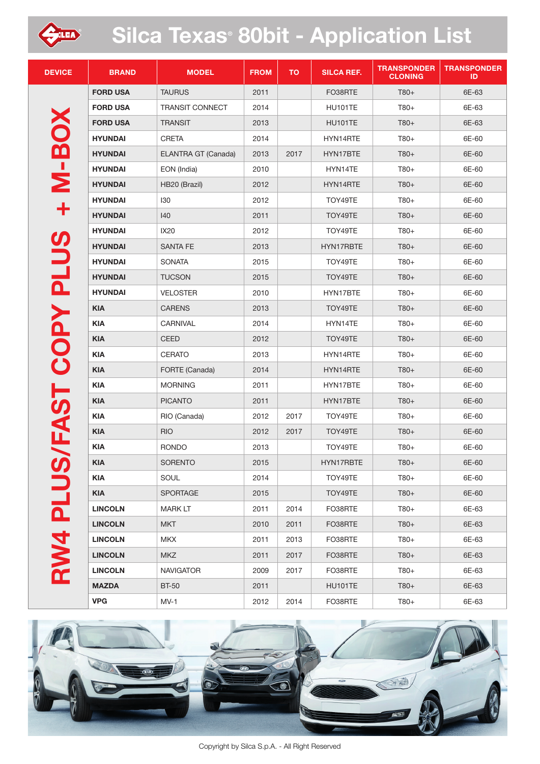

## **Silca Texas® 80bit - Application List**

| <b>DEVICE</b>       | <b>BRAND</b>    | <b>MODEL</b>           | <b>FROM</b> | <b>TO</b> | <b>SILCA REF.</b> | <b>TRANSPONDER</b><br><b>CLONING</b> | <b>TRANSPONDER</b><br>ID |
|---------------------|-----------------|------------------------|-------------|-----------|-------------------|--------------------------------------|--------------------------|
| <b>M-BOX</b>        | <b>FORD USA</b> | <b>TAURUS</b>          | 2011        |           | FO38RTE           | $T80+$                               | 6E-63                    |
|                     | <b>FORD USA</b> | <b>TRANSIT CONNECT</b> | 2014        |           | HU101TE           | T80+                                 | 6E-63                    |
|                     | <b>FORD USA</b> | <b>TRANSIT</b>         | 2013        |           | <b>HU101TE</b>    | $T80+$                               | 6E-63                    |
|                     | <b>HYUNDAI</b>  | CRETA                  | 2014        |           | HYN14RTE          | T80+                                 | 6E-60                    |
|                     | <b>HYUNDAI</b>  | ELANTRA GT (Canada)    | 2013        | 2017      | HYN17BTE          | $T80+$                               | 6E-60                    |
|                     | <b>HYUNDAI</b>  | EON (India)            | 2010        |           | HYN14TE           | T80+                                 | 6E-60                    |
|                     | <b>HYUNDAI</b>  | HB20 (Brazil)          | 2012        |           | HYN14RTE          | $T80+$                               | 6E-60                    |
|                     | <b>HYUNDAI</b>  | 130                    | 2012        |           | TOY49TE           | T80+                                 | 6E-60                    |
| ╋                   | <b>HYUNDAI</b>  | 140                    | 2011        |           | TOY49TE           | $T80+$                               | 6E-60                    |
|                     | <b>HYUNDAI</b>  | IX20                   | 2012        |           | TOY49TE           | T80+                                 | 6E-60                    |
|                     | <b>HYUNDAI</b>  | <b>SANTA FE</b>        | 2013        |           | HYN17RBTE         | $T80+$                               | 6E-60                    |
|                     | <b>HYUNDAI</b>  | <b>SONATA</b>          | 2015        |           | TOY49TE           | T80+                                 | 6E-60                    |
|                     | <b>HYUNDAI</b>  | <b>TUCSON</b>          | 2015        |           | TOY49TE           | $T80+$                               | 6E-60                    |
|                     | <b>HYUNDAI</b>  | <b>VELOSTER</b>        | 2010        |           | HYN17BTE          | T80+                                 | 6E-60                    |
| PLUS/FAST COPY PLUS | <b>KIA</b>      | <b>CARENS</b>          | 2013        |           | TOY49TE           | $T80+$                               | 6E-60                    |
|                     | <b>KIA</b>      | CARNIVAL               | 2014        |           | HYN14TE           | T80+                                 | 6E-60                    |
|                     | <b>KIA</b>      | CEED                   | 2012        |           | TOY49TE           | $T80+$                               | 6E-60                    |
|                     | <b>KIA</b>      | CERATO                 | 2013        |           | HYN14RTE          | T80+                                 | 6E-60                    |
|                     | <b>KIA</b>      | FORTE (Canada)         | 2014        |           | HYN14RTE          | $T80+$                               | 6E-60                    |
|                     | <b>KIA</b>      | <b>MORNING</b>         | 2011        |           | HYN17BTE          | $T80+$                               | 6E-60                    |
|                     | <b>KIA</b>      | <b>PICANTO</b>         | 2011        |           | HYN17BTE          | $T80+$                               | 6E-60                    |
|                     | <b>KIA</b>      | RIO (Canada)           | 2012        | 2017      | TOY49TE           | T80+                                 | 6E-60                    |
|                     | <b>KIA</b>      | <b>RIO</b>             | 2012        | 2017      | TOY49TE           | $T80+$                               | 6E-60                    |
|                     | <b>KIA</b>      | <b>RONDO</b>           | 2013        |           | TOY49TE           | T80+                                 | 6E-60                    |
|                     | <b>KIA</b>      | <b>SORENTO</b>         | 2015        |           | HYN17RBTE         | $T80+$                               | 6E-60                    |
|                     | <b>KIA</b>      | SOUL                   | 2014        |           | TOY49TE           | T80+                                 | 6E-60                    |
|                     | <b>KIA</b>      | SPORTAGE               | 2015        |           | TOY49TE           | $T80+$                               | 6E-60                    |
|                     | <b>LINCOLN</b>  | <b>MARK LT</b>         | 2011        | 2014      | FO38RTE           | T80+                                 | 6E-63                    |
|                     | <b>LINCOLN</b>  | <b>MKT</b>             | 2010        | 2011      | FO38RTE           | $T80+$                               | 6E-63                    |
| RW4                 | <b>LINCOLN</b>  | <b>MKX</b>             | 2011        | 2013      | FO38RTE           | T80+                                 | 6E-63                    |
|                     | <b>LINCOLN</b>  | <b>MKZ</b>             | 2011        | 2017      | FO38RTE           | $T80+$                               | 6E-63                    |
|                     | <b>LINCOLN</b>  | <b>NAVIGATOR</b>       | 2009        | 2017      | FO38RTE           | T80+                                 | 6E-63                    |
|                     | <b>MAZDA</b>    | <b>BT-50</b>           | 2011        |           | HU101TE           | $T80+$                               | 6E-63                    |
|                     | <b>VPG</b>      | $MV-1$                 | 2012        | 2014      | FO38RTE           | T80+                                 | 6E-63                    |